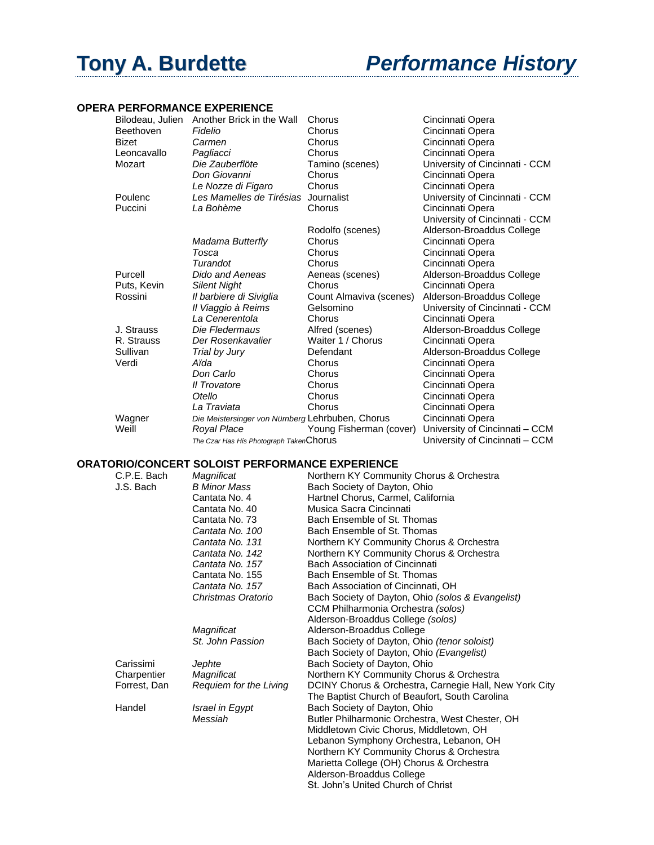## **Tony A. Burdette** *Performance History*

## **OPERA PERFORMANCE EXPERIENCE**

| Bilodeau, Julien | Another Brick in the Wall                        | Chorus                  | Cincinnati Opera               |
|------------------|--------------------------------------------------|-------------------------|--------------------------------|
| Beethoven        | Fidelio                                          | Chorus                  | Cincinnati Opera               |
| <b>Bizet</b>     | Carmen                                           | Chorus                  | Cincinnati Opera               |
| Leoncavallo      | Pagliacci                                        | Chorus                  | Cincinnati Opera               |
| Mozart           | Die Zauberflöte                                  | Tamino (scenes)         | University of Cincinnati - CCM |
|                  | Don Giovanni                                     | Chorus                  | Cincinnati Opera               |
|                  | Le Nozze di Figaro                               | Chorus                  | Cincinnati Opera               |
| Poulenc          | Les Mamelles de Tirésias                         | Journalist              | University of Cincinnati - CCM |
| Puccini          | La Bohème                                        | Chorus                  | Cincinnati Opera               |
|                  |                                                  |                         | University of Cincinnati - CCM |
|                  |                                                  | Rodolfo (scenes)        | Alderson-Broaddus College      |
|                  | Madama Butterfly                                 | Chorus                  | Cincinnati Opera               |
|                  | Tosca                                            | Chorus                  | Cincinnati Opera               |
|                  | Turandot                                         | Chorus                  | Cincinnati Opera               |
| Purcell          | Dido and Aeneas                                  | Aeneas (scenes)         | Alderson-Broaddus College      |
| Puts, Kevin      | <b>Silent Night</b>                              | Chorus                  | Cincinnati Opera               |
| Rossini          | Il barbiere di Siviglia                          | Count Almaviva (scenes) | Alderson-Broaddus College      |
|                  | Il Viaggio à Reims                               | Gelsomino               | University of Cincinnati - CCM |
|                  | La Cenerentola                                   | Chorus                  | Cincinnati Opera               |
| J. Strauss       | Die Fledermaus                                   | Alfred (scenes)         | Alderson-Broaddus College      |
| R. Strauss       | Der Rosenkavalier                                | Waiter 1 / Chorus       | Cincinnati Opera               |
| Sullivan         | Trial by Jury                                    | Defendant               | Alderson-Broaddus College      |
| Verdi            | Aïda                                             | Chorus                  | Cincinnati Opera               |
|                  | Don Carlo                                        | Chorus                  | Cincinnati Opera               |
|                  | <b>Il Trovatore</b>                              | Chorus                  | Cincinnati Opera               |
|                  | Otello                                           | Chorus                  | Cincinnati Opera               |
|                  | La Traviata                                      | Chorus                  | Cincinnati Opera               |
| Wagner           | Die Meistersinger von Nürnberg Lehrbuben, Chorus | Cincinnati Opera        |                                |
| Weill            | Royal Place                                      | Young Fisherman (cover) | University of Cincinnati - CCM |
|                  | The Czar Has His Photograph TakenChorus          |                         | University of Cincinnati – CCM |

## **ORATORIO/CONCERT SOLOIST PERFORMANCE EXPERIENCE**

| C.P.E. Bach  | Magnificat             | Northern KY Community Chorus & Orchestra               |
|--------------|------------------------|--------------------------------------------------------|
| J.S. Bach    | <b>B Minor Mass</b>    | Bach Society of Dayton, Ohio                           |
|              | Cantata No. 4          | Hartnel Chorus, Carmel, California                     |
|              | Cantata No. 40         | Musica Sacra Cincinnati                                |
|              | Cantata No. 73         | Bach Ensemble of St. Thomas                            |
|              | Cantata No. 100        | Bach Ensemble of St. Thomas                            |
|              | Cantata No. 131        | Northern KY Community Chorus & Orchestra               |
|              | Cantata No. 142        | Northern KY Community Chorus & Orchestra               |
|              | Cantata No. 157        | Bach Association of Cincinnati                         |
|              | Cantata No. 155        | Bach Ensemble of St. Thomas                            |
|              | Cantata No. 157        | Bach Association of Cincinnati, OH                     |
|              | Christmas Oratorio     | Bach Society of Dayton, Ohio (solos & Evangelist)      |
|              |                        | CCM Philharmonia Orchestra (solos)                     |
|              |                        | Alderson-Broaddus College (solos)                      |
|              | Magnificat             | Alderson-Broaddus College                              |
|              | St. John Passion       | Bach Society of Dayton, Ohio (tenor soloist)           |
|              |                        | Bach Society of Dayton, Ohio (Evangelist)              |
| Carissimi    | Jephte                 | Bach Society of Dayton, Ohio                           |
| Charpentier  | Magnificat             | Northern KY Community Chorus & Orchestra               |
| Forrest, Dan | Requiem for the Living | DCINY Chorus & Orchestra, Carnegie Hall, New York City |
|              |                        | The Baptist Church of Beaufort, South Carolina         |
| Handel       | Israel in Egypt        | Bach Society of Dayton, Ohio                           |
|              | Messiah                | Butler Philharmonic Orchestra, West Chester, OH        |
|              |                        | Middletown Civic Chorus, Middletown, OH                |
|              |                        | Lebanon Symphony Orchestra, Lebanon, OH                |
|              |                        | Northern KY Community Chorus & Orchestra               |
|              |                        | Marietta College (OH) Chorus & Orchestra               |
|              |                        | Alderson-Broaddus College                              |
|              |                        | St. John's United Church of Christ                     |